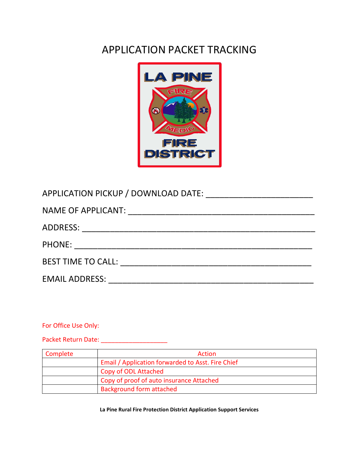# APPLICATION PACKET TRACKING



| BEST TIME TO CALL: The Contract of the Contract of the Contract of the Contract of the Contract of the Contract of the Contract of the Contract of the Contract of the Contract of the Contract of the Contract of the Contrac |
|--------------------------------------------------------------------------------------------------------------------------------------------------------------------------------------------------------------------------------|
| <b>EMAIL ADDRESS:</b>                                                                                                                                                                                                          |

For Office Use Only:

Packet Return Date: \_\_\_\_\_\_\_\_\_\_\_\_\_\_\_\_\_\_\_

| Complete | <b>Action</b>                                     |
|----------|---------------------------------------------------|
|          | Email / Application forwarded to Asst. Fire Chief |
|          | Copy of ODL Attached                              |
|          | Copy of proof of auto insurance Attached          |
|          | <b>Background form attached</b>                   |

La Pine Rural Fire Protection District Application Support Services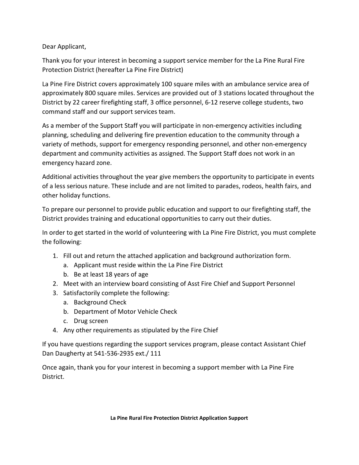Dear Applicant,

Thank you for your interest in becoming a support service member for the La Pine Rural Fire Protection District (hereafter La Pine Fire District)

La Pine Fire District covers approximately 100 square miles with an ambulance service area of approximately 800 square miles. Services are provided out of 3 stations located throughout the District by 22 career firefighting staff, 3 office personnel, 6-12 reserve college students, two command staff and our support services team.

As a member of the Support Staff you will participate in non-emergency activities including planning, scheduling and delivering fire prevention education to the community through a variety of methods, support for emergency responding personnel, and other non-emergency department and community activities as assigned. The Support Staff does not work in an emergency hazard zone.

Additional activities throughout the year give members the opportunity to participate in events of a less serious nature. These include and are not limited to parades, rodeos, health fairs, and other holiday functions.

To prepare our personnel to provide public education and support to our firefighting staff, the District provides training and educational opportunities to carry out their duties.

In order to get started in the world of volunteering with La Pine Fire District, you must complete the following:

- 1. Fill out and return the attached application and background authorization form.
	- a. Applicant must reside within the La Pine Fire District
	- b. Be at least 18 years of age
- 2. Meet with an interview board consisting of Asst Fire Chief and Support Personnel
- 3. Satisfactorily complete the following:
	- a. Background Check
	- b. Department of Motor Vehicle Check
	- c. Drug screen
- 4. Any other requirements as stipulated by the Fire Chief

If you have questions regarding the support services program, please contact Assistant Chief Dan Daugherty at 541-536-2935 ext./ 111

Once again, thank you for your interest in becoming a support member with La Pine Fire District.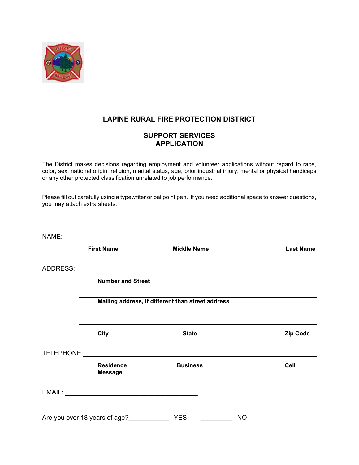

# LAPINE RURAL FIRE PROTECTION DISTRICT

# SUPPORT SERVICES APPLICATION

The District makes decisions regarding employment and volunteer applications without regard to race, color, sex, national origin, religion, marital status, age, prior industrial injury, mental or physical handicaps or any other protected classification unrelated to job performance.

Please fill out carefully using a typewriter or ballpoint pen. If you need additional space to answer questions, you may attach extra sheets.

| <b>First Name</b>                  | <b>Middle Name</b>                                | <b>Last Name</b> |
|------------------------------------|---------------------------------------------------|------------------|
|                                    |                                                   |                  |
| <b>Number and Street</b>           |                                                   |                  |
|                                    | Mailing address, if different than street address |                  |
| <b>City</b>                        | <b>State</b>                                      | <b>Zip Code</b>  |
|                                    | TELEPHONE: NAMEL AND TELEPHONE:                   |                  |
| <b>Residence</b><br><b>Message</b> | <b>Business</b>                                   | Cell             |
|                                    |                                                   |                  |
| Are you over 18 years of age? VES  | <b>NO</b>                                         |                  |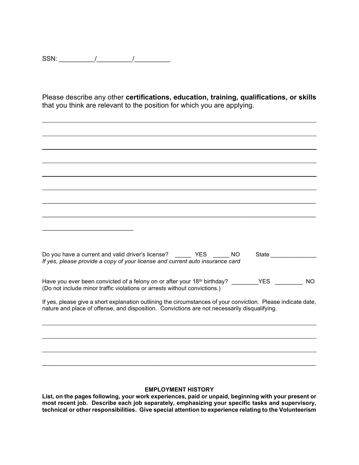SSN: \_\_\_\_\_\_\_\_\_\_/\_\_\_\_\_\_\_\_\_\_/\_\_\_\_\_\_\_\_\_\_

l

Please describe any other certifications, education, training, qualifications, or skills that you think are relevant to the position for which you are applying.

| Do you have a current and valid driver's license? YES<br>NO.<br>If yes, please provide a copy of your license and current auto insurance card                                                                 | State |           |
|---------------------------------------------------------------------------------------------------------------------------------------------------------------------------------------------------------------|-------|-----------|
| Have you ever been convicted of a felony on or after your 18th birthday? _______YES _______<br>(Do not include minor traffic violations or arrests without convictions.)                                      |       | <b>NO</b> |
| If yes, please give a short explanation outlining the circumstances of your conviction. Please indicate date,<br>nature and place of offense, and disposition. Convictions are not necessarily disqualifying. |       |           |
|                                                                                                                                                                                                               |       |           |
|                                                                                                                                                                                                               |       |           |
|                                                                                                                                                                                                               |       |           |

### EMPLOYMENT HISTORY

\_\_\_\_\_\_\_\_\_\_\_\_\_\_\_\_\_\_\_\_\_\_\_\_\_\_\_\_\_\_\_\_\_\_\_\_\_\_\_\_\_\_\_\_\_\_\_\_\_\_\_\_\_\_\_\_\_\_\_\_\_\_\_\_\_\_\_\_\_\_\_\_\_\_\_\_\_\_\_\_\_\_\_\_

List, on the pages following, your work experiences, paid or unpaid, beginning with your present or most recent job. Describe each job separately, emphasizing your specific tasks and supervisory, technical or other responsibilities. Give special attention to experience relating to the Volunteerism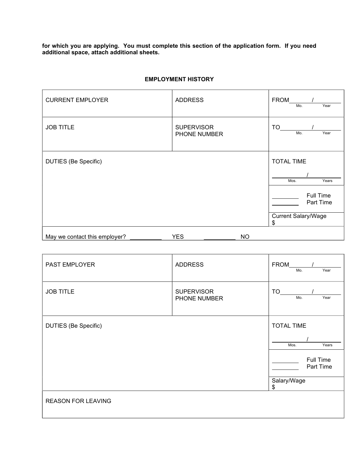for which you are applying. You must complete this section of the application form. If you need additional space, attach additional sheets.

| <b>CURRENT EMPLOYER</b>       | <b>ADDRESS</b>                    |           | <b>FROM</b><br>Year<br>Mo.      |
|-------------------------------|-----------------------------------|-----------|---------------------------------|
| <b>JOB TITLE</b>              | <b>SUPERVISOR</b><br>PHONE NUMBER |           | TO<br>Year<br>Mo.               |
| <b>DUTIES (Be Specific)</b>   |                                   |           | <b>TOTAL TIME</b>               |
|                               |                                   |           | Mos.<br>Years                   |
|                               |                                   |           | Full Time<br>Part Time          |
|                               |                                   |           | <b>Current Salary/Wage</b><br>S |
| May we contact this employer? | <b>YES</b>                        | <b>NO</b> |                                 |

### EMPLOYMENT HISTORY

| PAST EMPLOYER               | <b>ADDRESS</b>                    | <b>FROM</b><br>Year<br>Mo.                                   |
|-----------------------------|-----------------------------------|--------------------------------------------------------------|
| <b>JOB TITLE</b>            | <b>SUPERVISOR</b><br>PHONE NUMBER | TO<br>Year<br>Mo.                                            |
| <b>DUTIES (Be Specific)</b> |                                   | <b>TOTAL TIME</b><br>Mos.<br>Years<br>Full Time<br>Part Time |
|                             |                                   | Salary/Wage<br>\$                                            |
| <b>REASON FOR LEAVING</b>   |                                   |                                                              |

 $\overline{1}$ 

 $\overline{\phantom{a}}$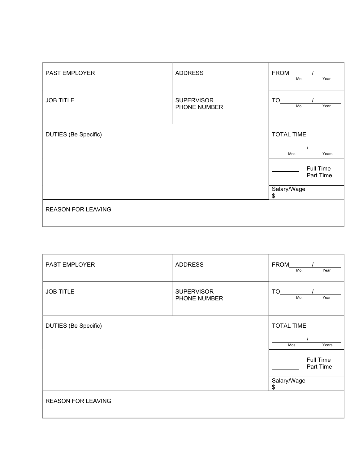| PAST EMPLOYER               | <b>ADDRESS</b>                    | <b>FROM</b><br>Year<br>Mo.                                                        |
|-----------------------------|-----------------------------------|-----------------------------------------------------------------------------------|
| <b>JOB TITLE</b>            | <b>SUPERVISOR</b><br>PHONE NUMBER | TO<br>Mo.<br>Year                                                                 |
| <b>DUTIES (Be Specific)</b> |                                   | <b>TOTAL TIME</b><br>Mos.<br>Years<br>Full Time<br>Part Time<br>Salary/Wage<br>\$ |
| <b>REASON FOR LEAVING</b>   |                                   |                                                                                   |

| PAST EMPLOYER               | <b>ADDRESS</b>                    | <b>FROM</b><br>Year<br>Mo.                                                        |
|-----------------------------|-----------------------------------|-----------------------------------------------------------------------------------|
| <b>JOB TITLE</b>            | <b>SUPERVISOR</b><br>PHONE NUMBER | TO<br>Year<br>Mo.                                                                 |
| <b>DUTIES</b> (Be Specific) |                                   | <b>TOTAL TIME</b><br>Mos.<br>Years<br>Full Time<br>Part Time<br>Salary/Wage<br>\$ |
| <b>REASON FOR LEAVING</b>   |                                   |                                                                                   |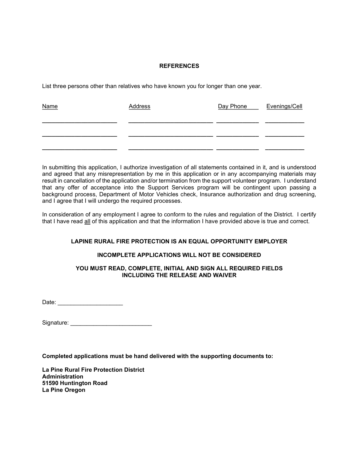### REFERENCES

List three persons other than relatives who have known you for longer than one year.

| <b>Name</b> | <b>Address</b> | Day Phone _____ Evenings/Cell |  |
|-------------|----------------|-------------------------------|--|
|             |                |                               |  |
|             |                |                               |  |

In submitting this application, I authorize investigation of all statements contained in it, and is understood and agreed that any misrepresentation by me in this application or in any accompanying materials may result in cancellation of the application and/or termination from the support volunteer program. I understand that any offer of acceptance into the Support Services program will be contingent upon passing a background process, Department of Motor Vehicles check, Insurance authorization and drug screening, and I agree that I will undergo the required processes.

In consideration of any employment I agree to conform to the rules and regulation of the District. I certify that I have read all of this application and that the information I have provided above is true and correct.

### LAPINE RURAL FIRE PROTECTION IS AN EQUAL OPPORTUNITY EMPLOYER

#### INCOMPLETE APPLICATIONS WILL NOT BE CONSIDERED

### YOU MUST READ, COMPLETE, INITIAL AND SIGN ALL REQUIRED FIELDS INCLUDING THE RELEASE AND WAIVER

Date: \_\_\_\_\_\_\_\_\_\_\_\_\_\_\_\_\_\_\_\_

Signature: \_\_\_\_\_\_\_\_\_\_\_\_\_\_\_\_\_\_\_\_\_\_\_\_\_

Completed applications must be hand delivered with the supporting documents to:

La Pine Rural Fire Protection District Administration 51590 Huntington Road La Pine Oregon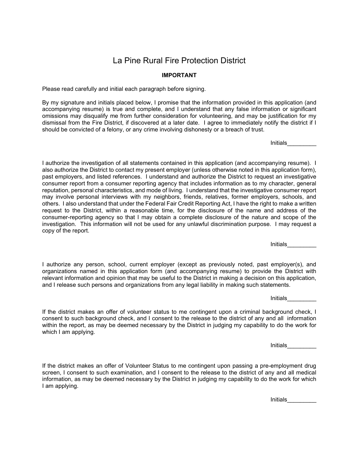# La Pine Rural Fire Protection District

### IMPORTANT

Please read carefully and initial each paragraph before signing.

By my signature and initials placed below, I promise that the information provided in this application (and accompanying resume) is true and complete, and I understand that any false information or significant omissions may disqualify me from further consideration for volunteering, and may be justification for my dismissal from the Fire District, if discovered at a later date. I agree to immediately notify the district if I should be convicted of a felony, or any crime involving dishonesty or a breach of trust.

Initials\_\_\_\_\_\_\_\_\_

I authorize the investigation of all statements contained in this application (and accompanying resume). I also authorize the District to contact my present employer (unless otherwise noted in this application form), past employers, and listed references. I understand and authorize the District to request an investigative consumer report from a consumer reporting agency that includes information as to my character, general reputation, personal characteristics, and mode of living. I understand that the investigative consumer report may involve personal interviews with my neighbors, friends, relatives, former employers, schools, and others. I also understand that under the Federal Fair Credit Reporting Act, I have the right to make a written request to the District, within a reasonable time, for the disclosure of the name and address of the consumer-reporting agency so that I may obtain a complete disclosure of the nature and scope of the investigation. This information will not be used for any unlawful discrimination purpose. I may request a copy of the report.

Initials\_\_\_\_\_\_\_\_\_

I authorize any person, school, current employer (except as previously noted, past employer(s), and organizations named in this application form (and accompanying resume) to provide the District with relevant information and opinion that may be useful to the District in making a decision on this application, and I release such persons and organizations from any legal liability in making such statements.

 $\blacksquare$  Initials  $\blacksquare$ 

If the district makes an offer of volunteer status to me contingent upon a criminal background check, I consent to such background check, and I consent to the release to the district of any and all information within the report, as may be deemed necessary by the District in judging my capability to do the work for which I am applying.

Initials\_\_\_\_\_\_\_\_\_

If the district makes an offer of Volunteer Status to me contingent upon passing a pre-employment drug screen, I consent to such examination, and I consent to the release to the district of any and all medical information, as may be deemed necessary by the District in judging my capability to do the work for which I am applying.

Initials\_\_\_\_\_\_\_\_\_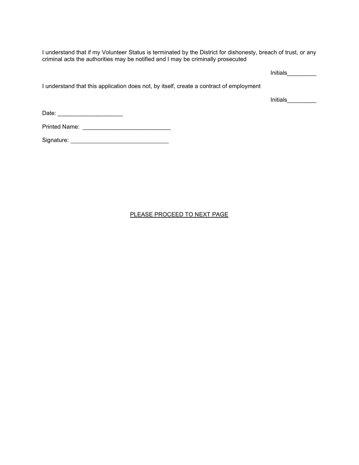I understand that if my Volunteer Status is terminated by the District for dishonesty, breach of trust, or any criminal acts the authorities may be notified and I may be criminally prosecuted

Initials\_\_\_\_\_\_\_\_\_\_

I understand that this application does not, by itself, create a contract of employment

 $Initials$ 

Date: \_\_\_\_\_\_\_\_\_\_\_\_\_\_\_\_\_\_\_\_

Printed Name: \_\_\_\_\_\_\_\_\_\_\_\_\_\_\_\_\_\_\_\_\_\_\_\_\_\_\_

Signature:

PLEASE PROCEED TO NEXT PAGE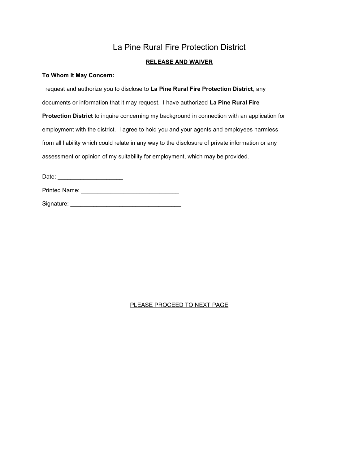# La Pine Rural Fire Protection District

### RELEASE AND WAIVER

### To Whom It May Concern:

I request and authorize you to disclose to La Pine Rural Fire Protection District, any documents or information that it may request. I have authorized La Pine Rural Fire Protection District to inquire concerning my background in connection with an application for employment with the district. I agree to hold you and your agents and employees harmless from all liability which could relate in any way to the disclosure of private information or any assessment or opinion of my suitability for employment, which may be provided.

Date: \_\_\_\_\_\_\_\_\_\_\_\_\_\_\_\_\_\_\_\_

| Printed Name: |  |  |  |  |  |  |  |
|---------------|--|--|--|--|--|--|--|
|               |  |  |  |  |  |  |  |

Signature: \_\_\_\_\_\_\_\_\_\_\_\_\_\_\_\_\_\_\_\_\_\_\_\_\_\_\_\_\_\_\_\_\_\_

### PLEASE PROCEED TO NEXT PAGE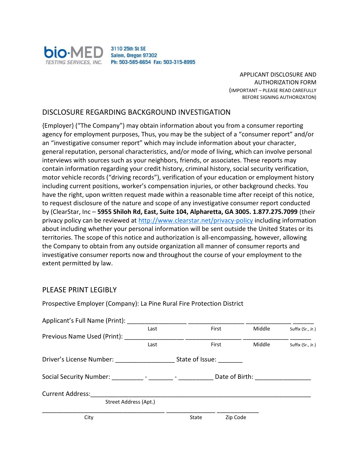

APPLICANT DISCLOSURE AND AUTHORIZATION FORM (IMPORTANT – PLEASE READ CAREFULLY BEFORE SIGNING AUTHORIZATON)

### DISCLOSURE REGARDING BACKGROUND INVESTIGATION

Prospective Employer (Company): La Pine Rural Fire Protection District

{Employer} ("The Company") may obtain information about you from a consumer reporting agency for employment purposes, Thus, you may be the subject of a "consumer report" and/or an "investigative consumer report" which may include information about your character, general reputation, personal characteristics, and/or mode of living, which can involve personal interviews with sources such as your neighbors, friends, or associates. These reports may contain information regarding your credit history, criminal history, social security verification, motor vehicle records ("driving records"), verification of your education or employment history including current positions, worker's compensation injuries, or other background checks. You have the right, upon written request made within a reasonable time after receipt of this notice, to request disclosure of the nature and scope of any investigative consumer report conducted by (ClearStar, Inc – 5955 Shiloh Rd, East, Suite 104, Alpharetta, GA 3005. 1.877.275.7099 (their privacy policy can be reviewed at http://www.clearstar.net/privacy-policy including information about including whether your personal information will be sent outside the United States or its territories. The scope of this notice and authorization is all-encompassing, however, allowing the Company to obtain from any outside organization all manner of consumer reports and investigative consumer reports now and throughout the course of your employment to the extent permitted by law.

### PLEASE PRINT LEGIBLY

| Applicant's Full Name (Print):                                                                                 |      |                 |                |                   |
|----------------------------------------------------------------------------------------------------------------|------|-----------------|----------------|-------------------|
|                                                                                                                | Last | First           | Middle         | Suffix (Sr., Jr.) |
| Previous Name Used (Print):                                                                                    |      |                 |                |                   |
|                                                                                                                | Last | First           | Middle         | Suffix (Sr., Jr.) |
| Driver's License Number:                                                                                       |      | State of Issue: |                |                   |
| Social Security Number: The Contract of the Contract of the Contract of the Contract of the Contract of the Co |      |                 | Date of Birth: |                   |
| <b>Current Address:</b>                                                                                        |      |                 |                |                   |
| Street Address (Apt.)                                                                                          |      |                 |                |                   |
| City                                                                                                           |      | State           | Zip Code       |                   |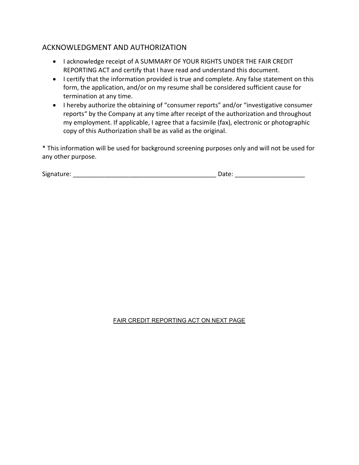# ACKNOWLEDGMENT AND AUTHORIZATION

- I acknowledge receipt of A SUMMARY OF YOUR RIGHTS UNDER THE FAIR CREDIT REPORTING ACT and certify that I have read and understand this document.
- I certify that the information provided is true and complete. Any false statement on this form, the application, and/or on my resume shall be considered sufficient cause for termination at any time.
- I hereby authorize the obtaining of "consumer reports" and/or "investigative consumer reports" by the Company at any time after receipt of the authorization and throughout my employment. If applicable, I agree that a facsimile (fax), electronic or photographic copy of this Authorization shall be as valid as the original.

\* This information will be used for background screening purposes only and will not be used for any other purpose.

| Signature: | pull. |
|------------|-------|
|            |       |

### FAIR CREDIT REPORTING ACT ON NEXT PAGE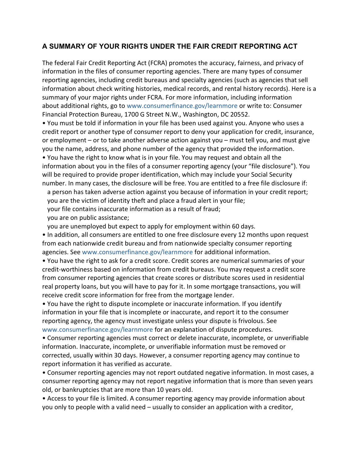# A SUMMARY OF YOUR RIGHTS UNDER THE FAIR CREDIT REPORTING ACT

The federal Fair Credit Reporting Act (FCRA) promotes the accuracy, fairness, and privacy of information in the files of consumer reporting agencies. There are many types of consumer reporting agencies, including credit bureaus and specialty agencies (such as agencies that sell information about check writing histories, medical records, and rental history records). Here is a summary of your major rights under FCRA. For more information, including information about additional rights, go to www.consumerfinance.gov/learnmore or write to: Consumer Financial Protection Bureau, 1700 G Street N.W., Washington, DC 20552.

• You must be told if information in your file has been used against you. Anyone who uses a credit report or another type of consumer report to deny your application for credit, insurance, or employment – or to take another adverse action against you – must tell you, and must give you the name, address, and phone number of the agency that provided the information.

• You have the right to know what is in your file. You may request and obtain all the information about you in the files of a consumer reporting agency (your "file disclosure"). You will be required to provide proper identification, which may include your Social Security number. In many cases, the disclosure will be free. You are entitled to a free file disclosure if:

• a person has taken adverse action against you because of information in your credit report; • you are the victim of identity theft and place a fraud alert in your file;

• your file contains inaccurate information as a result of fraud;

• you are on public assistance;

• you are unemployed but expect to apply for employment within 60 days.

• In addition, all consumers are entitled to one free disclosure every 12 months upon request from each nationwide credit bureau and from nationwide specialty consumer reporting agencies. See www.consumerfinance.gov/learnmore for additional information.

• You have the right to ask for a credit score. Credit scores are numerical summaries of your credit-worthiness based on information from credit bureaus. You may request a credit score from consumer reporting agencies that create scores or distribute scores used in residential real property loans, but you will have to pay for it. In some mortgage transactions, you will receive credit score information for free from the mortgage lender.

• You have the right to dispute incomplete or inaccurate information. If you identify information in your file that is incomplete or inaccurate, and report it to the consumer reporting agency, the agency must investigate unless your dispute is frivolous. See www.consumerfinance.gov/learnmore for an explanation of dispute procedures.

• Consumer reporting agencies must correct or delete inaccurate, incomplete, or unverifiable information. Inaccurate, incomplete, or unverifiable information must be removed or corrected, usually within 30 days. However, a consumer reporting agency may continue to report information it has verified as accurate.

• Consumer reporting agencies may not report outdated negative information. In most cases, a consumer reporting agency may not report negative information that is more than seven years old, or bankruptcies that are more than 10 years old.

• Access to your file is limited. A consumer reporting agency may provide information about you only to people with a valid need – usually to consider an application with a creditor,